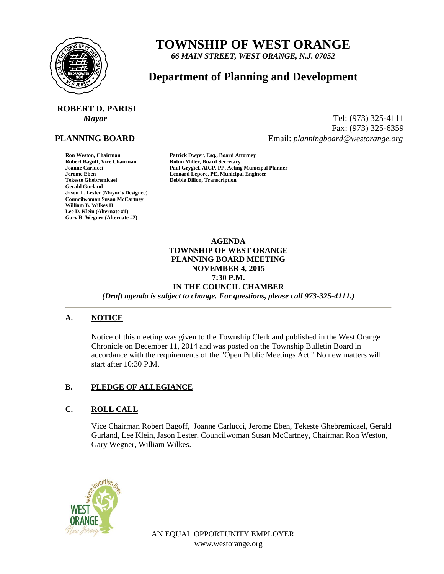

## **TOWNSHIP OF WEST ORANGE**

*66 MAIN STREET, WEST ORANGE, N.J. 07052*

### **Department of Planning and Development**

# **ROBERT D. PARISI**

#### **PLANNING BOARD**

**Gerald Gurland Jason T. Lester (Mayor's Designee) Councilwoman Susan McCartney William B. Wilkes II Lee D. Klein (Alternate #1) Gary B. Wegner (Alternate #2)**

*Mayor* Tel: (973) 325-4111 Fax: (973) 325-6359 Email: *planningboard@westorange.org*

**Ron Weston, Chairman Patrick Dwyer, Esq., Board Attorney Robin Miller, Board Secretary Joanne Carlucci Paul Grygiel, AICP, PP, Acting Municipal Planner Jerome Eben Leonard Lepore, PE, Municipal Engineer Tekeste Ghebremicael Debbie Dillon, Transcription**

> **AGENDA TOWNSHIP OF WEST ORANGE PLANNING BOARD MEETING NOVEMBER 4, 2015 7:30 P.M. IN THE COUNCIL CHAMBER** *(Draft agenda is subject to change. For questions, please call 973-325-4111.)*

#### **A. NOTICE**

Notice of this meeting was given to the Township Clerk and published in the West Orange Chronicle on December 11, 2014 and was posted on the Township Bulletin Board in accordance with the requirements of the "Open Public Meetings Act." No new matters will start after 10:30 P.M.

#### **B. PLEDGE OF ALLEGIANCE**

#### **C. ROLL CALL**

Vice Chairman Robert Bagoff, Joanne Carlucci, Jerome Eben, Tekeste Ghebremicael, Gerald Gurland, Lee Klein, Jason Lester, Councilwoman Susan McCartney, Chairman Ron Weston, Gary Wegner, William Wilkes.



AN EQUAL OPPORTUNITY EMPLOYER www.westorange.org